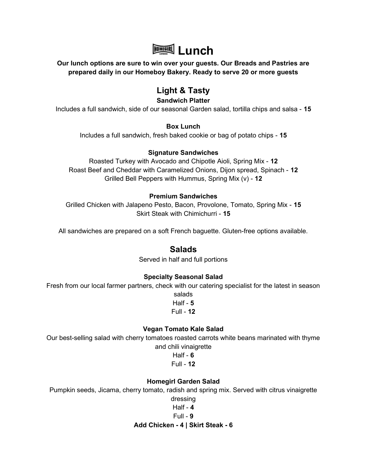

Our lunch options are sure to win over your guests. Our Breads and Pastries are prepared daily in our Homeboy Bakery. Ready to serve 20 or more guests

# Light & Tasty

### Sandwich Platter

Includes a full sandwich, side of our seasonal Garden salad, tortilla chips and salsa - 15

#### Box Lunch

Includes a full sandwich, fresh baked cookie or bag of potato chips - 15

#### Signature Sandwiches

Roasted Turkey with Avocado and Chipotle Aioli, Spring Mix - 12 Roast Beef and Cheddar with Caramelized Onions, Dijon spread, Spinach - 12 Grilled Bell Peppers with Hummus, Spring Mix  $(v)$  - 12

#### Premium Sandwiches

Grilled Chicken with Jalapeno Pesto, Bacon, Provolone, Tomato, Spring Mix - 15 Skirt Steak with Chimichurri - 15

All sandwiches are prepared on a soft French baguette. Gluten-free options available.

# Salads

Served in half and full portions

# Specialty Seasonal Salad

Fresh from our local farmer partners, check with our catering specialist for the latest in season

salads Half -  $5$ Full - 12

#### Vegan Tomato Kale Salad

Our best-selling salad with cherry tomatoes roasted carrots white beans marinated with thyme and chili vinaigrette

> Half -  $6$  $Full - 12$

# Homegirl Garden Salad

Pumpkin seeds, Jicama, cherry tomato, radish and spring mix. Served with citrus vinaigrette

dressing

#### Half - 4

#### $Full - 9$

#### Add Chicken - 4 | Skirt Steak - 6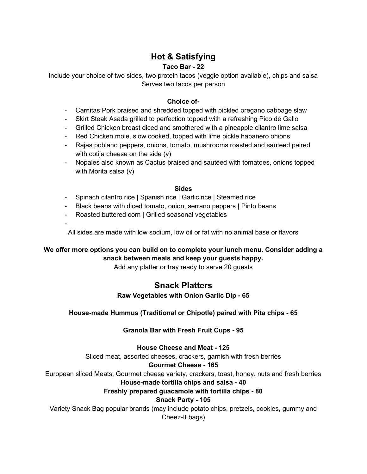# Hot & Satisfying

### Taco Bar - 22

Include your choice of two sides, two protein tacos (veggie option available), chips and salsa Serves two tacos per person

### Choice of-

- Carnitas Pork braised and shredded topped with pickled oregano cabbage slaw
- Skirt Steak Asada grilled to perfection topped with a refreshing Pico de Gallo
- Grilled Chicken breast diced and smothered with a pineapple cilantro lime salsa
- Red Chicken mole, slow cooked, topped with lime pickle habanero onions
- Rajas poblano peppers, onions, tomato, mushrooms roasted and sauteed paired with cotija cheese on the side (v)
- Nopales also known as Cactus braised and sautéed with tomatoes, onions topped with Morita salsa (v)

#### **Sides**

- Spinach cilantro rice | Spanish rice | Garlic rice | Steamed rice
- Black beans with diced tomato, onion, serrano peppers | Pinto beans
- Roasted buttered corn | Grilled seasonal vegetables

-

All sides are made with low sodium, low oil or fat with no animal base or flavors

# We offer more options you can build on to complete your lunch menu. Consider adding a snack between meals and keep your guests happy.

Add any platter or tray ready to serve 20 guests

# Snack Platters

# Raw Vegetables with Onion Garlic Dip - 65

#### House-made Hummus (Traditional or Chipotle) paired with Pita chips - 65

# Granola Bar with Fresh Fruit Cups - 95

House Cheese and Meat - 125

Sliced meat, assorted cheeses, crackers, garnish with fresh berries

#### Gourmet Cheese - 165

European sliced Meats, Gourmet cheese variety, crackers, toast, honey, nuts and fresh berries

#### House-made tortilla chips and salsa - 40

#### Freshly prepared guacamole with tortilla chips - 80

#### Snack Party - 105

Variety Snack Bag popular brands (may include potato chips, pretzels, cookies, gummy and Cheez-It bags)